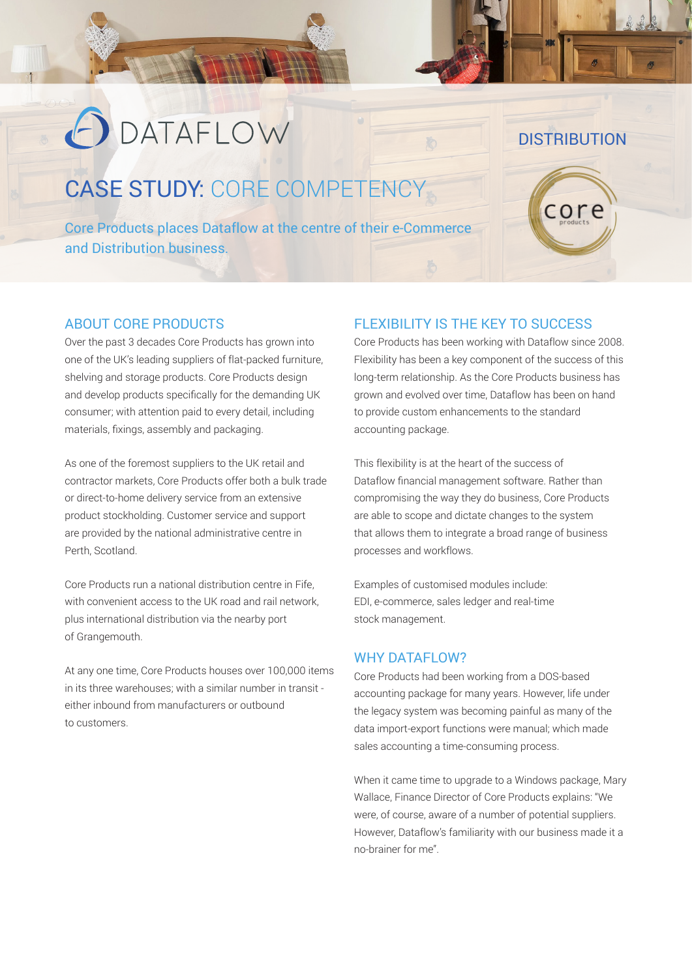# **O** DATAFLOW

## CASE STUDY: CORE COMPETENCY

Core Products places Dataflow at the centre of their e-Commerce and Distribution business.

#### ABOUT CORE PRODUCTS

Over the past 3 decades Core Products has grown into one of the UK's leading suppliers of flat-packed furniture, shelving and storage products. Core Products design and develop products specifically for the demanding UK consumer; with attention paid to every detail, including materials, fixings, assembly and packaging.

As one of the foremost suppliers to the UK retail and contractor markets, Core Products offer both a bulk trade or direct-to-home delivery service from an extensive product stockholding. Customer service and support are provided by the national administrative centre in Perth, Scotland.

Core Products run a national distribution centre in Fife, with convenient access to the UK road and rail network, plus international distribution via the nearby port of Grangemouth.

At any one time, Core Products houses over 100,000 items in its three warehouses; with a similar number in transit either inbound from manufacturers or outbound to customers.

### FLEXIBILITY IS THE KEY TO SUCCESS

Core Products has been working with Dataflow since 2008. Flexibility has been a key component of the success of this long-term relationship. As the Core Products business has grown and evolved over time, Dataflow has been on hand to provide custom enhancements to the standard accounting package.

**DISTRIBUTION** 

core

This flexibility is at the heart of the success of Dataflow financial management software. Rather than compromising the way they do business, Core Products are able to scope and dictate changes to the system that allows them to integrate a broad range of business processes and workflows.

Examples of customised modules include: EDI, e-commerce, sales ledger and real-time stock management.

#### WHY DATAFLOW?

Core Products had been working from a DOS-based accounting package for many years. However, life under the legacy system was becoming painful as many of the data import-export functions were manual; which made sales accounting a time-consuming process.

When it came time to upgrade to a Windows package, Mary Wallace, Finance Director of Core Products explains: "We were, of course, aware of a number of potential suppliers. However, Dataflow's familiarity with our business made it a no-brainer for me".